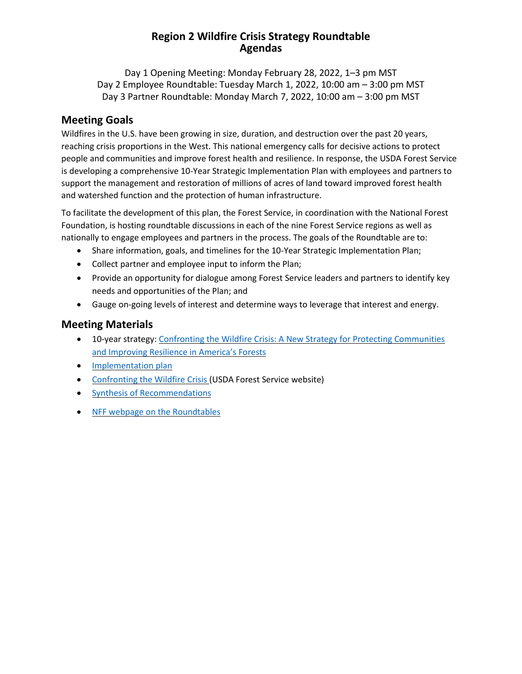### **Region 2 Wildfire Crisis Strategy Roundtable Agendas**

Day 1 Opening Meeting: Monday February 28, 2022, 1–3 pm MST Day 2 Employee Roundtable: Tuesday March 1, 2022, 10:00 am – 3:00 pm MST Day 3 Partner Roundtable: Monday March 7, 2022, 10:00 am – 3:00 pm MST

### **Meeting Goals**

Wildfires in the U.S. have been growing in size, duration, and destruction over the past 20 years, reaching crisis proportions in the West. This national emergency calls for decisive actions to protect people and communities and improve forest health and resilience. In response, the USDA Forest Service is developing a comprehensive 10-Year Strategic Implementation Plan with employees and partners to support the management and restoration of millions of acres of land toward improved forest health and watershed function and the protection of human infrastructure.

To facilitate the development of this plan, the Forest Service, in coordination with the National Forest Foundation, is hosting roundtable discussions in each of the nine Forest Service regions as well as nationally to engage employees and partners in the process. The goals of the Roundtable are to:

- Share information, goals, and timelines for the 10-Year Strategic Implementation Plan;
- Collect partner and employee input to inform the Plan;
- Provide an opportunity for dialogue among Forest Service leaders and partners to identify key needs and opportunities of the Plan; and
- Gauge on-going levels of interest and determine ways to leverage that interest and energy.

### **Meeting Materials**

- 10-year strategy: Confronting the Wildfire Crisis: A New Strategy for Protecting [Communities](https://www.fs.usda.gov/sites/default/files/Confronting-Wildfire-Crisis.pdf) and [Improving](https://www.fs.usda.gov/sites/default/files/Confronting-Wildfire-Crisis.pdf) Resilience in America's Forests
- [Implementation](https://www.fs.usda.gov/sites/default/files/Wildfire-Crisis-Implementation-Plan.pdf) plan
- [Confronting](https://www.fs.usda.gov/managing-land/wildfire-crisis) the Wildfire Crisis (USDA Forest Service website)
- Synthesis of [Recommendations](https://www.nationalforests.org/assets/blog/Wildfire-Risk-Reduction-Partner-Recommendation-Analysis.pdf)
- NFF webpage on the [Roundtables](https://www.nationalforests.org/collaboration-resources/wildfire-crisis-strategy-roundtables)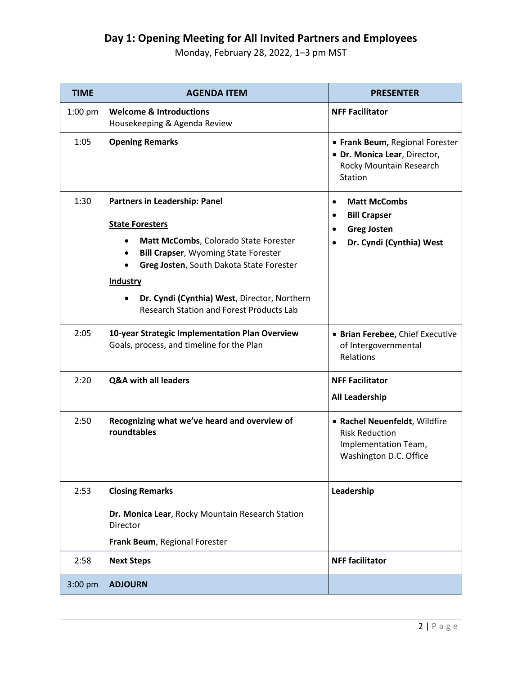## **Day 1: Opening Meeting for All Invited Partners and Employees**

Monday, February 28, 2022, 1–3 pm MST

| <b>TIME</b> | <b>AGENDA ITEM</b>                                                                                                               | <b>PRESENTER</b>                                                                                         |  |
|-------------|----------------------------------------------------------------------------------------------------------------------------------|----------------------------------------------------------------------------------------------------------|--|
| $1:00$ pm   | <b>Welcome &amp; Introductions</b><br>Housekeeping & Agenda Review                                                               | <b>NFF Facilitator</b>                                                                                   |  |
| 1:05        | <b>Opening Remarks</b>                                                                                                           | • Frank Beum, Regional Forester<br>· Dr. Monica Lear, Director,<br>Rocky Mountain Research<br>Station    |  |
| 1:30        | Partners in Leadership: Panel<br><b>State Foresters</b>                                                                          | <b>Matt McCombs</b><br>$\bullet$<br><b>Bill Crapser</b><br>$\bullet$<br><b>Greg Josten</b><br>$\bullet$  |  |
|             | Matt McCombs, Colorado State Forester<br><b>Bill Crapser, Wyoming State Forester</b><br>Greg Josten, South Dakota State Forester | Dr. Cyndi (Cynthia) West                                                                                 |  |
|             | <b>Industry</b><br>Dr. Cyndi (Cynthia) West, Director, Northern<br><b>Research Station and Forest Products Lab</b>               |                                                                                                          |  |
| 2:05        | 10-year Strategic Implementation Plan Overview<br>Goals, process, and timeline for the Plan                                      | • Brian Ferebee, Chief Executive<br>of Intergovernmental<br>Relations                                    |  |
| 2:20        | Q&A with all leaders                                                                                                             | <b>NFF Facilitator</b>                                                                                   |  |
|             |                                                                                                                                  | <b>All Leadership</b>                                                                                    |  |
| 2:50        | Recognizing what we've heard and overview of<br>roundtables                                                                      | · Rachel Neuenfeldt, Wildfire<br><b>Risk Reduction</b><br>Implementation Team,<br>Washington D.C. Office |  |
| 2:53        | <b>Closing Remarks</b>                                                                                                           | Leadership                                                                                               |  |
|             | Dr. Monica Lear, Rocky Mountain Research Station<br>Director                                                                     |                                                                                                          |  |
|             | Frank Beum, Regional Forester                                                                                                    |                                                                                                          |  |
| 2:58        | <b>Next Steps</b>                                                                                                                | <b>NFF facilitator</b>                                                                                   |  |
| $3:00$ pm   | <b>ADJOURN</b>                                                                                                                   |                                                                                                          |  |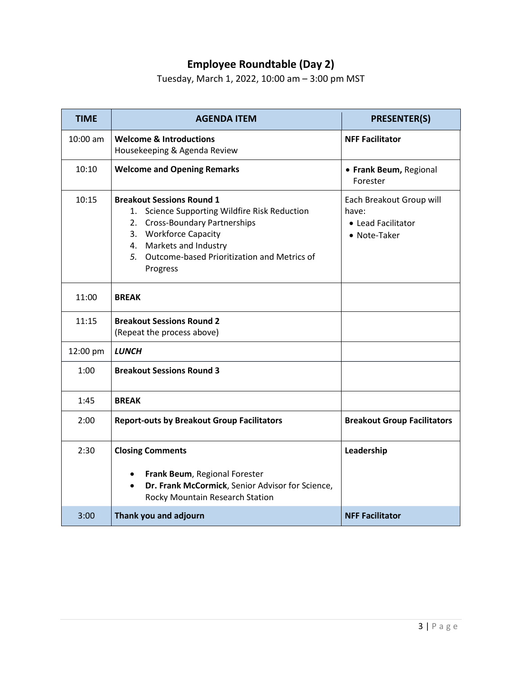# **Employee Roundtable (Day 2)**

Tuesday, March 1, 2022, 10:00 am – 3:00 pm MST

| <b>TIME</b> | <b>AGENDA ITEM</b>                                                                                                                                                                                                                    | <b>PRESENTER(S)</b>                                                     |
|-------------|---------------------------------------------------------------------------------------------------------------------------------------------------------------------------------------------------------------------------------------|-------------------------------------------------------------------------|
| $10:00$ am  | <b>Welcome &amp; Introductions</b><br>Housekeeping & Agenda Review                                                                                                                                                                    | <b>NFF Facilitator</b>                                                  |
| 10:10       | <b>Welcome and Opening Remarks</b>                                                                                                                                                                                                    | • Frank Beum, Regional<br>Forester                                      |
| 10:15       | <b>Breakout Sessions Round 1</b><br>1. Science Supporting Wildfire Risk Reduction<br>2. Cross-Boundary Partnerships<br>3. Workforce Capacity<br>4. Markets and Industry<br>5. Outcome-based Prioritization and Metrics of<br>Progress | Each Breakout Group will<br>have:<br>• Lead Facilitator<br>• Note-Taker |
| 11:00       | <b>BREAK</b>                                                                                                                                                                                                                          |                                                                         |
| 11:15       | <b>Breakout Sessions Round 2</b><br>(Repeat the process above)                                                                                                                                                                        |                                                                         |
| 12:00 pm    | <b>LUNCH</b>                                                                                                                                                                                                                          |                                                                         |
| 1:00        | <b>Breakout Sessions Round 3</b>                                                                                                                                                                                                      |                                                                         |
| 1:45        | <b>BREAK</b>                                                                                                                                                                                                                          |                                                                         |
| 2:00        | <b>Report-outs by Breakout Group Facilitators</b>                                                                                                                                                                                     | <b>Breakout Group Facilitators</b>                                      |
| 2:30        | <b>Closing Comments</b><br>Frank Beum, Regional Forester<br>$\bullet$<br>Dr. Frank McCormick, Senior Advisor for Science,<br>$\bullet$<br>Rocky Mountain Research Station                                                             | Leadership                                                              |
| 3:00        | Thank you and adjourn                                                                                                                                                                                                                 | <b>NFF Facilitator</b>                                                  |